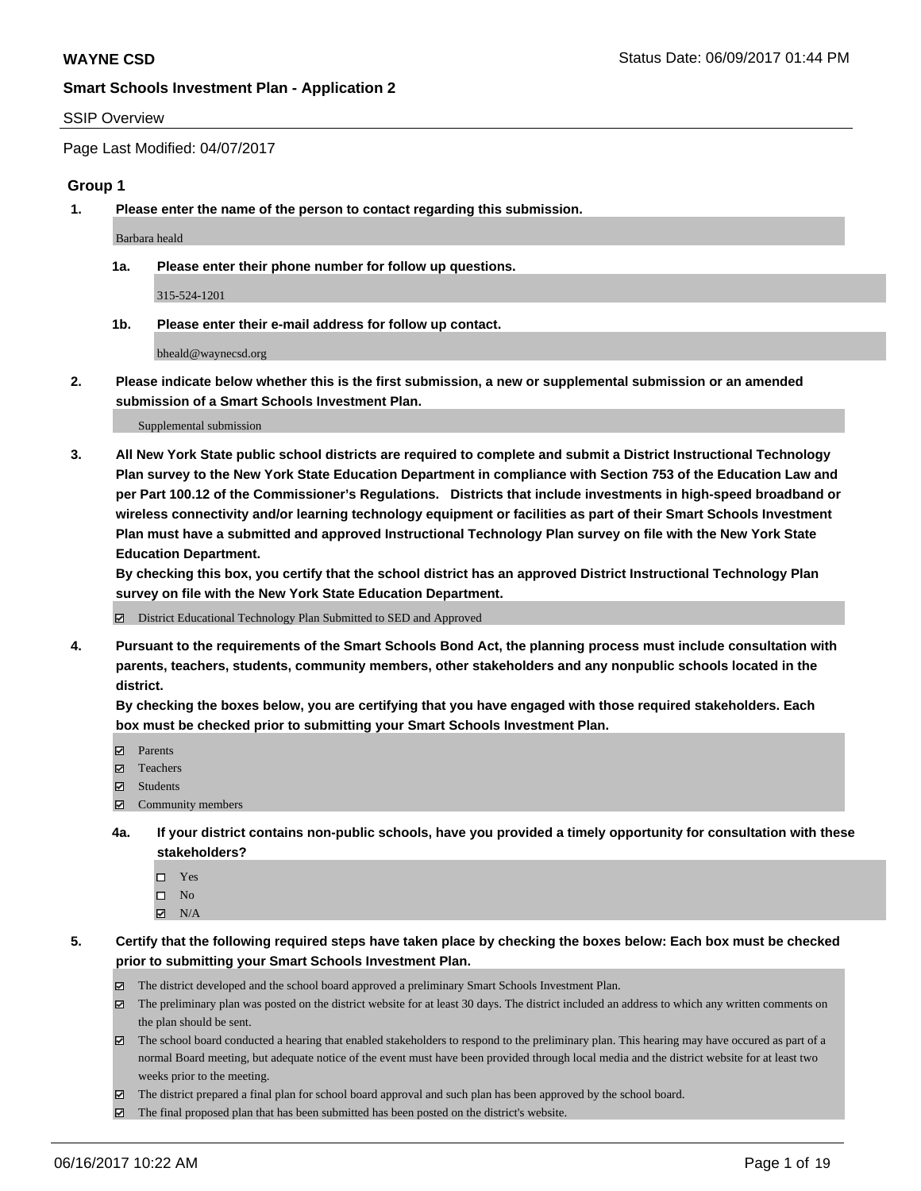#### SSIP Overview

Page Last Modified: 04/07/2017

#### **Group 1**

**1. Please enter the name of the person to contact regarding this submission.**

Barbara heald

**1a. Please enter their phone number for follow up questions.**

315-524-1201

**1b. Please enter their e-mail address for follow up contact.**

bheald@waynecsd.org

**2. Please indicate below whether this is the first submission, a new or supplemental submission or an amended submission of a Smart Schools Investment Plan.**

Supplemental submission

**3. All New York State public school districts are required to complete and submit a District Instructional Technology Plan survey to the New York State Education Department in compliance with Section 753 of the Education Law and per Part 100.12 of the Commissioner's Regulations. Districts that include investments in high-speed broadband or wireless connectivity and/or learning technology equipment or facilities as part of their Smart Schools Investment Plan must have a submitted and approved Instructional Technology Plan survey on file with the New York State Education Department.** 

**By checking this box, you certify that the school district has an approved District Instructional Technology Plan survey on file with the New York State Education Department.**

District Educational Technology Plan Submitted to SED and Approved

**4. Pursuant to the requirements of the Smart Schools Bond Act, the planning process must include consultation with parents, teachers, students, community members, other stakeholders and any nonpublic schools located in the district.** 

**By checking the boxes below, you are certifying that you have engaged with those required stakeholders. Each box must be checked prior to submitting your Smart Schools Investment Plan.**

- **マ** Parents
- □ Teachers
- Students
- $\Xi$  Community members
- **4a. If your district contains non-public schools, have you provided a timely opportunity for consultation with these stakeholders?**
	- Yes
	- $\hfill \square$  No
	- $\boxtimes$  N/A
- **5. Certify that the following required steps have taken place by checking the boxes below: Each box must be checked prior to submitting your Smart Schools Investment Plan.**
	- The district developed and the school board approved a preliminary Smart Schools Investment Plan.
	- $\boxtimes$  The preliminary plan was posted on the district website for at least 30 days. The district included an address to which any written comments on the plan should be sent.
	- $\boxtimes$  The school board conducted a hearing that enabled stakeholders to respond to the preliminary plan. This hearing may have occured as part of a normal Board meeting, but adequate notice of the event must have been provided through local media and the district website for at least two weeks prior to the meeting.
	- The district prepared a final plan for school board approval and such plan has been approved by the school board.
	- $\boxtimes$  The final proposed plan that has been submitted has been posted on the district's website.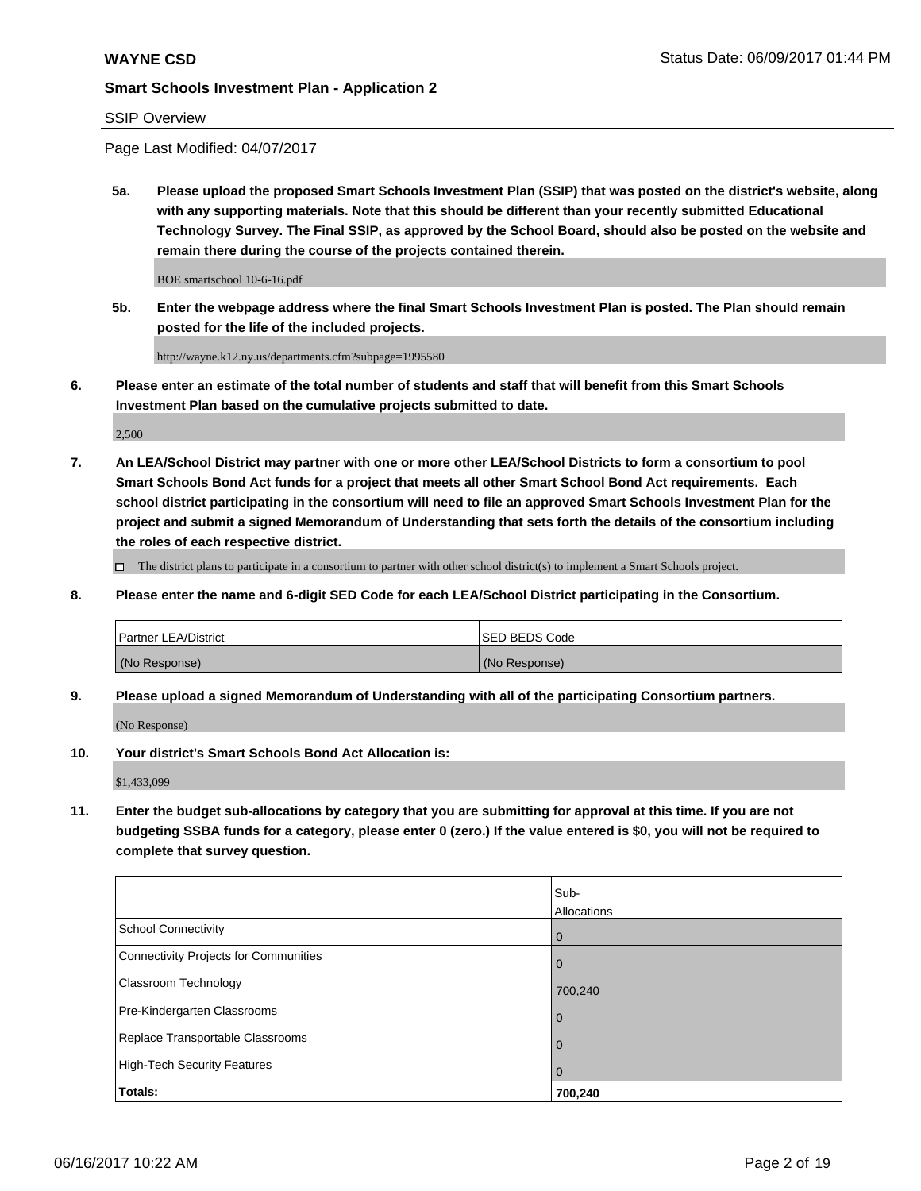## SSIP Overview

Page Last Modified: 04/07/2017

**5a. Please upload the proposed Smart Schools Investment Plan (SSIP) that was posted on the district's website, along with any supporting materials. Note that this should be different than your recently submitted Educational Technology Survey. The Final SSIP, as approved by the School Board, should also be posted on the website and remain there during the course of the projects contained therein.**

BOE smartschool 10-6-16.pdf

**5b. Enter the webpage address where the final Smart Schools Investment Plan is posted. The Plan should remain posted for the life of the included projects.**

http://wayne.k12.ny.us/departments.cfm?subpage=1995580

**6. Please enter an estimate of the total number of students and staff that will benefit from this Smart Schools Investment Plan based on the cumulative projects submitted to date.**

2,500

**7. An LEA/School District may partner with one or more other LEA/School Districts to form a consortium to pool Smart Schools Bond Act funds for a project that meets all other Smart School Bond Act requirements. Each school district participating in the consortium will need to file an approved Smart Schools Investment Plan for the project and submit a signed Memorandum of Understanding that sets forth the details of the consortium including the roles of each respective district.**

 $\Box$  The district plans to participate in a consortium to partner with other school district(s) to implement a Smart Schools project.

**8. Please enter the name and 6-digit SED Code for each LEA/School District participating in the Consortium.**

| <b>Partner LEA/District</b> | <b>ISED BEDS Code</b> |
|-----------------------------|-----------------------|
| (No Response)               | (No Response)         |

**9. Please upload a signed Memorandum of Understanding with all of the participating Consortium partners.**

(No Response)

**10. Your district's Smart Schools Bond Act Allocation is:**

\$1,433,099

**11. Enter the budget sub-allocations by category that you are submitting for approval at this time. If you are not budgeting SSBA funds for a category, please enter 0 (zero.) If the value entered is \$0, you will not be required to complete that survey question.**

|                                       | Sub-<br>Allocations |
|---------------------------------------|---------------------|
|                                       |                     |
| <b>School Connectivity</b>            | 0                   |
| Connectivity Projects for Communities | $\Omega$            |
| <b>Classroom Technology</b>           | 700,240             |
| Pre-Kindergarten Classrooms           | 0                   |
| Replace Transportable Classrooms      | O                   |
| <b>High-Tech Security Features</b>    | 0                   |
| Totals:                               | 700,240             |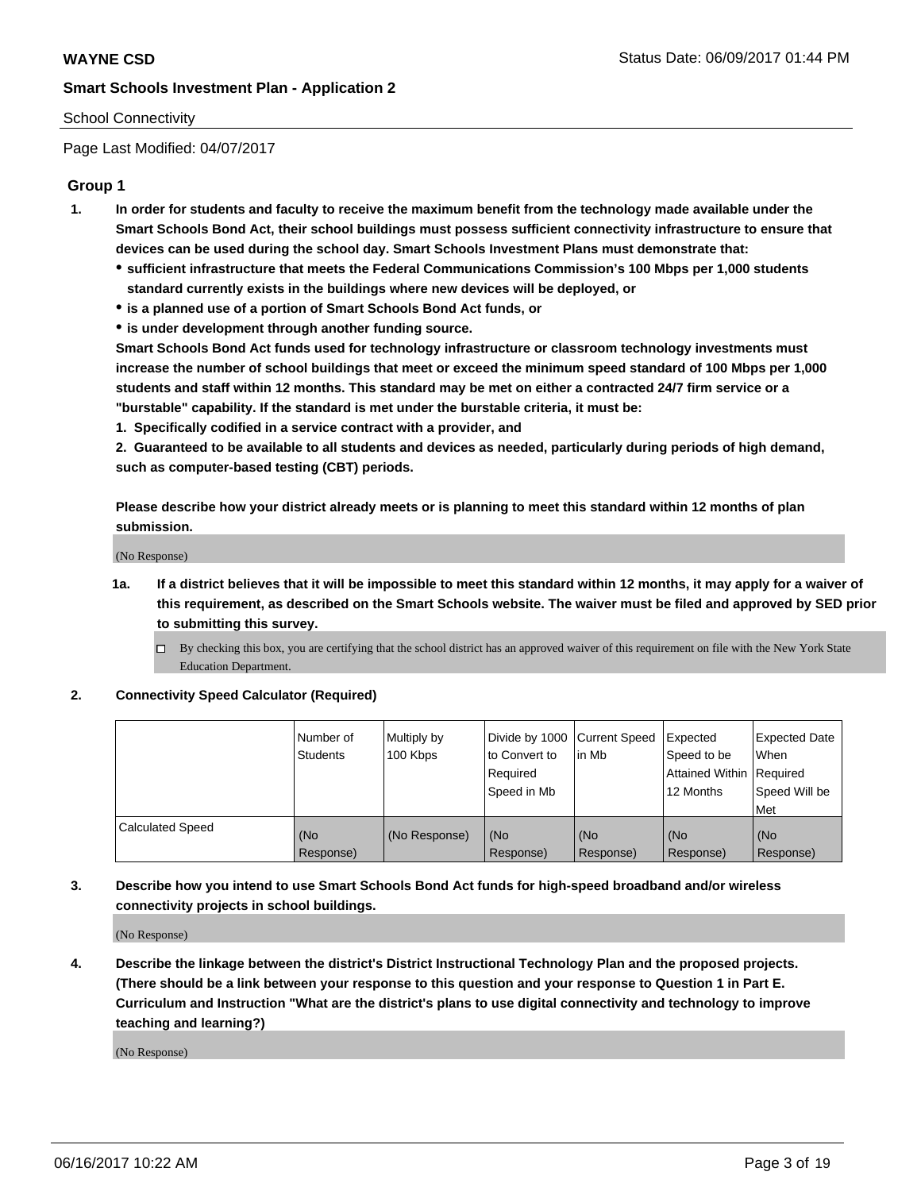## School Connectivity

Page Last Modified: 04/07/2017

## **Group 1**

- **1. In order for students and faculty to receive the maximum benefit from the technology made available under the Smart Schools Bond Act, their school buildings must possess sufficient connectivity infrastructure to ensure that devices can be used during the school day. Smart Schools Investment Plans must demonstrate that:**
	- **sufficient infrastructure that meets the Federal Communications Commission's 100 Mbps per 1,000 students standard currently exists in the buildings where new devices will be deployed, or**
	- **is a planned use of a portion of Smart Schools Bond Act funds, or**
	- **is under development through another funding source.**

**Smart Schools Bond Act funds used for technology infrastructure or classroom technology investments must increase the number of school buildings that meet or exceed the minimum speed standard of 100 Mbps per 1,000 students and staff within 12 months. This standard may be met on either a contracted 24/7 firm service or a "burstable" capability. If the standard is met under the burstable criteria, it must be:**

**1. Specifically codified in a service contract with a provider, and**

**2. Guaranteed to be available to all students and devices as needed, particularly during periods of high demand, such as computer-based testing (CBT) periods.**

**Please describe how your district already meets or is planning to meet this standard within 12 months of plan submission.**

(No Response)

- **1a. If a district believes that it will be impossible to meet this standard within 12 months, it may apply for a waiver of this requirement, as described on the Smart Schools website. The waiver must be filed and approved by SED prior to submitting this survey.**
	- By checking this box, you are certifying that the school district has an approved waiver of this requirement on file with the New York State Education Department.

#### **2. Connectivity Speed Calculator (Required)**

|                         | l Number of<br><b>Students</b> | Multiply by<br>100 Kbps | Divide by 1000   Current Speed<br>to Convert to<br>Required<br>l Speed in Mb | in Mb            | Expected<br>Speed to be<br>Attained Within Required<br>12 Months | <b>Expected Date</b><br>When<br>Speed Will be<br><b>Met</b> |
|-------------------------|--------------------------------|-------------------------|------------------------------------------------------------------------------|------------------|------------------------------------------------------------------|-------------------------------------------------------------|
| <b>Calculated Speed</b> | (No<br>Response)               | (No Response)           | (No<br>Response)                                                             | (No<br>Response) | (No<br>Response)                                                 | l (No<br>Response)                                          |

## **3. Describe how you intend to use Smart Schools Bond Act funds for high-speed broadband and/or wireless connectivity projects in school buildings.**

(No Response)

**4. Describe the linkage between the district's District Instructional Technology Plan and the proposed projects. (There should be a link between your response to this question and your response to Question 1 in Part E. Curriculum and Instruction "What are the district's plans to use digital connectivity and technology to improve teaching and learning?)**

(No Response)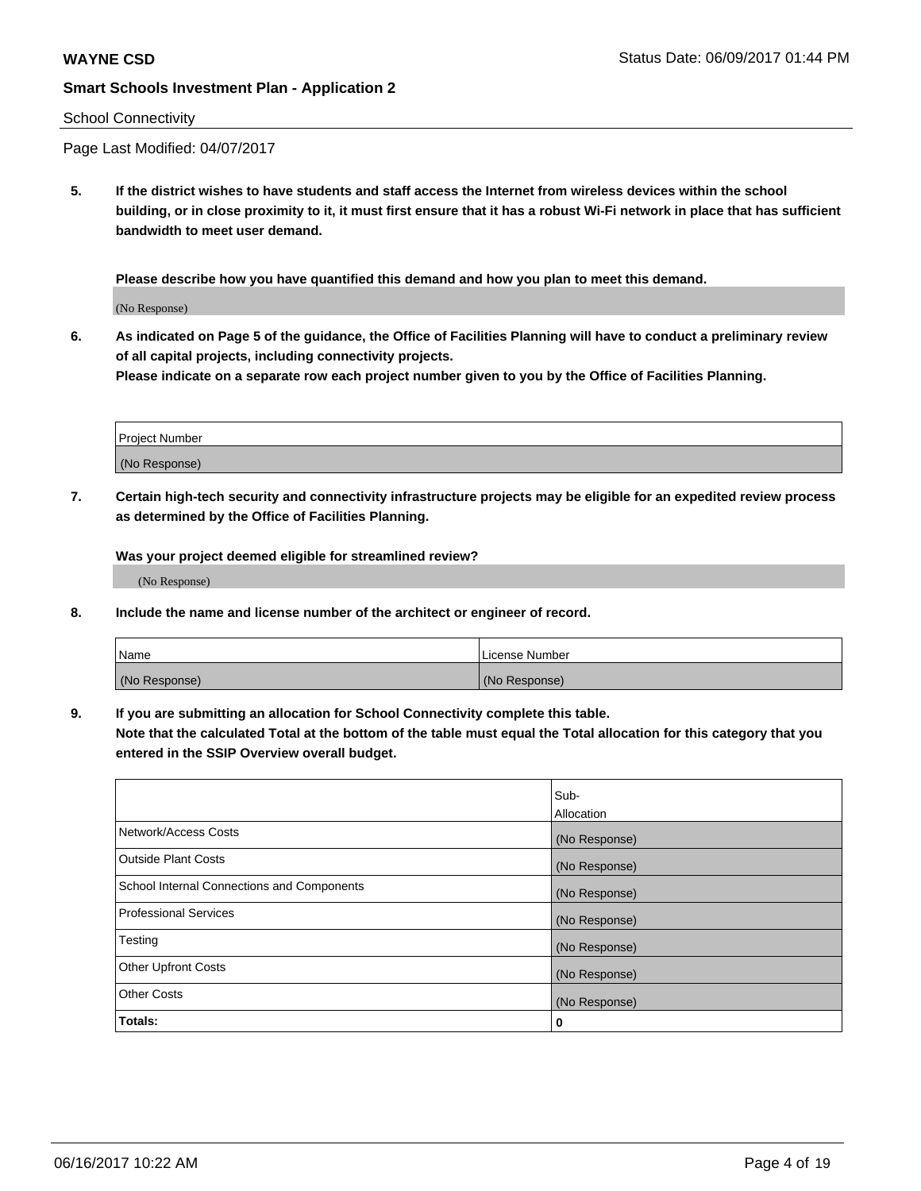#### School Connectivity

Page Last Modified: 04/07/2017

**5. If the district wishes to have students and staff access the Internet from wireless devices within the school building, or in close proximity to it, it must first ensure that it has a robust Wi-Fi network in place that has sufficient bandwidth to meet user demand.**

**Please describe how you have quantified this demand and how you plan to meet this demand.**

(No Response)

**6. As indicated on Page 5 of the guidance, the Office of Facilities Planning will have to conduct a preliminary review of all capital projects, including connectivity projects.**

**Please indicate on a separate row each project number given to you by the Office of Facilities Planning.**

| Project Number |  |
|----------------|--|
|                |  |
| (No Response)  |  |

**7. Certain high-tech security and connectivity infrastructure projects may be eligible for an expedited review process as determined by the Office of Facilities Planning.**

**Was your project deemed eligible for streamlined review?**

(No Response)

**8. Include the name and license number of the architect or engineer of record.**

| Name          | License Number |
|---------------|----------------|
| (No Response) | (No Response)  |

**9. If you are submitting an allocation for School Connectivity complete this table.**

**Note that the calculated Total at the bottom of the table must equal the Total allocation for this category that you entered in the SSIP Overview overall budget.** 

|                                            | Sub-              |
|--------------------------------------------|-------------------|
|                                            | <b>Allocation</b> |
| Network/Access Costs                       | (No Response)     |
| Outside Plant Costs                        | (No Response)     |
| School Internal Connections and Components | (No Response)     |
| <b>Professional Services</b>               | (No Response)     |
| Testing                                    | (No Response)     |
| <b>Other Upfront Costs</b>                 | (No Response)     |
| <b>Other Costs</b>                         | (No Response)     |
| Totals:                                    | 0                 |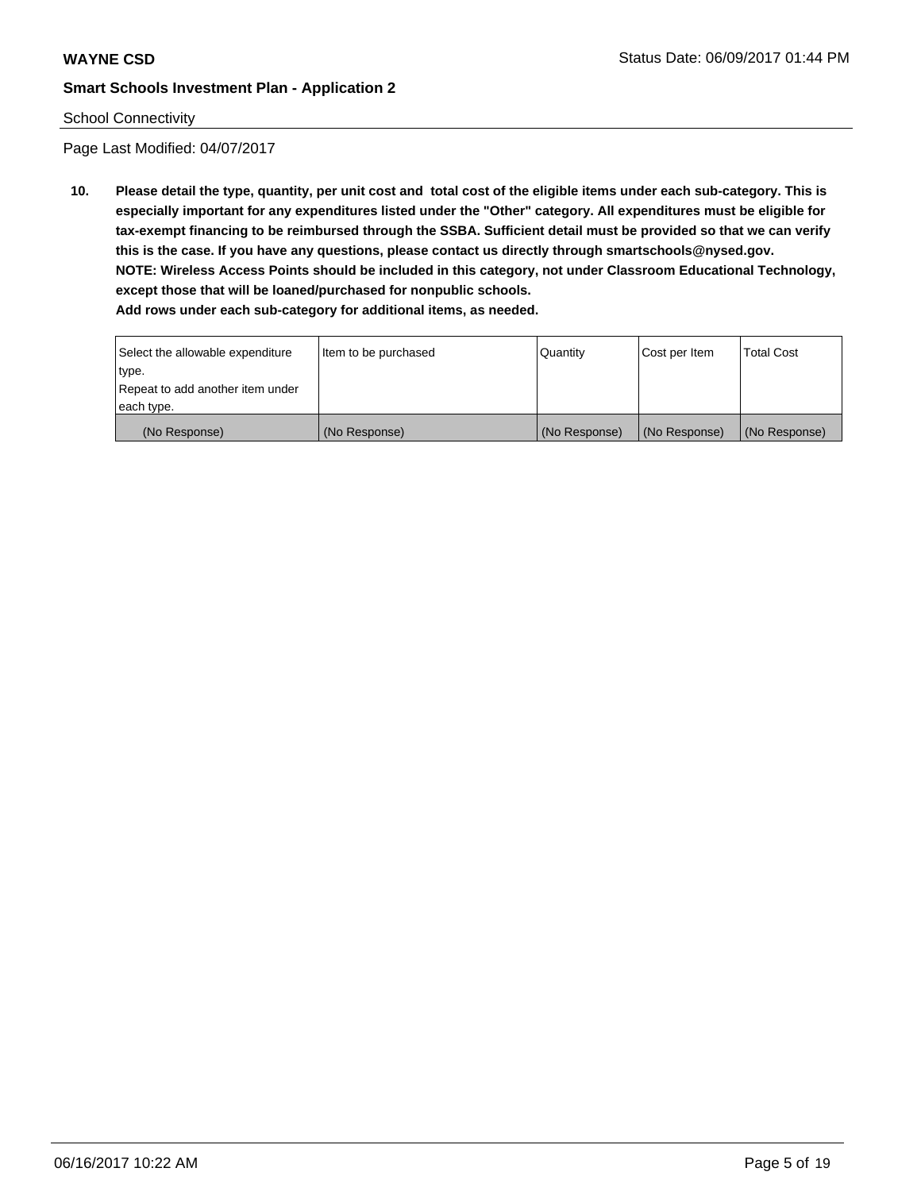## School Connectivity

Page Last Modified: 04/07/2017

**10. Please detail the type, quantity, per unit cost and total cost of the eligible items under each sub-category. This is especially important for any expenditures listed under the "Other" category. All expenditures must be eligible for tax-exempt financing to be reimbursed through the SSBA. Sufficient detail must be provided so that we can verify this is the case. If you have any questions, please contact us directly through smartschools@nysed.gov. NOTE: Wireless Access Points should be included in this category, not under Classroom Educational Technology, except those that will be loaned/purchased for nonpublic schools.**

| Select the allowable expenditure | Item to be purchased | Quantity      | Cost per Item | Total Cost    |
|----------------------------------|----------------------|---------------|---------------|---------------|
| type.                            |                      |               |               |               |
| Repeat to add another item under |                      |               |               |               |
| each type.                       |                      |               |               |               |
| (No Response)                    | (No Response)        | (No Response) | (No Response) | (No Response) |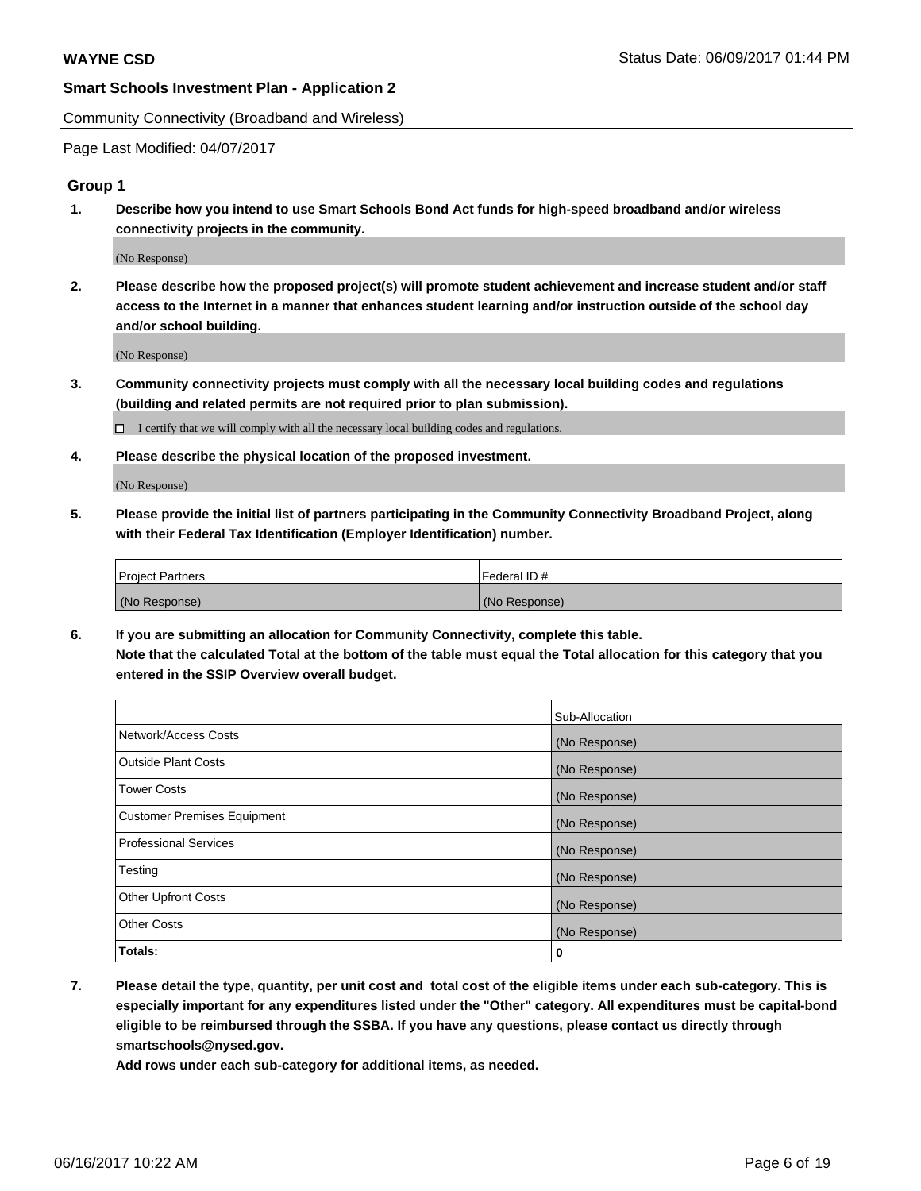Community Connectivity (Broadband and Wireless)

Page Last Modified: 04/07/2017

### **Group 1**

**1. Describe how you intend to use Smart Schools Bond Act funds for high-speed broadband and/or wireless connectivity projects in the community.**

(No Response)

**2. Please describe how the proposed project(s) will promote student achievement and increase student and/or staff access to the Internet in a manner that enhances student learning and/or instruction outside of the school day and/or school building.**

(No Response)

**3. Community connectivity projects must comply with all the necessary local building codes and regulations (building and related permits are not required prior to plan submission).**

 $\Box$  I certify that we will comply with all the necessary local building codes and regulations.

**4. Please describe the physical location of the proposed investment.**

(No Response)

**5. Please provide the initial list of partners participating in the Community Connectivity Broadband Project, along with their Federal Tax Identification (Employer Identification) number.**

| <b>Project Partners</b> | Federal ID#     |
|-------------------------|-----------------|
| (No Response)           | l (No Response) |

**6. If you are submitting an allocation for Community Connectivity, complete this table. Note that the calculated Total at the bottom of the table must equal the Total allocation for this category that you entered in the SSIP Overview overall budget.**

|                                    | Sub-Allocation |
|------------------------------------|----------------|
| Network/Access Costs               | (No Response)  |
| Outside Plant Costs                | (No Response)  |
| <b>Tower Costs</b>                 | (No Response)  |
| <b>Customer Premises Equipment</b> | (No Response)  |
| <b>Professional Services</b>       | (No Response)  |
| Testing                            | (No Response)  |
| <b>Other Upfront Costs</b>         | (No Response)  |
| <b>Other Costs</b>                 | (No Response)  |
| Totals:                            | 0              |

**7. Please detail the type, quantity, per unit cost and total cost of the eligible items under each sub-category. This is especially important for any expenditures listed under the "Other" category. All expenditures must be capital-bond eligible to be reimbursed through the SSBA. If you have any questions, please contact us directly through smartschools@nysed.gov.**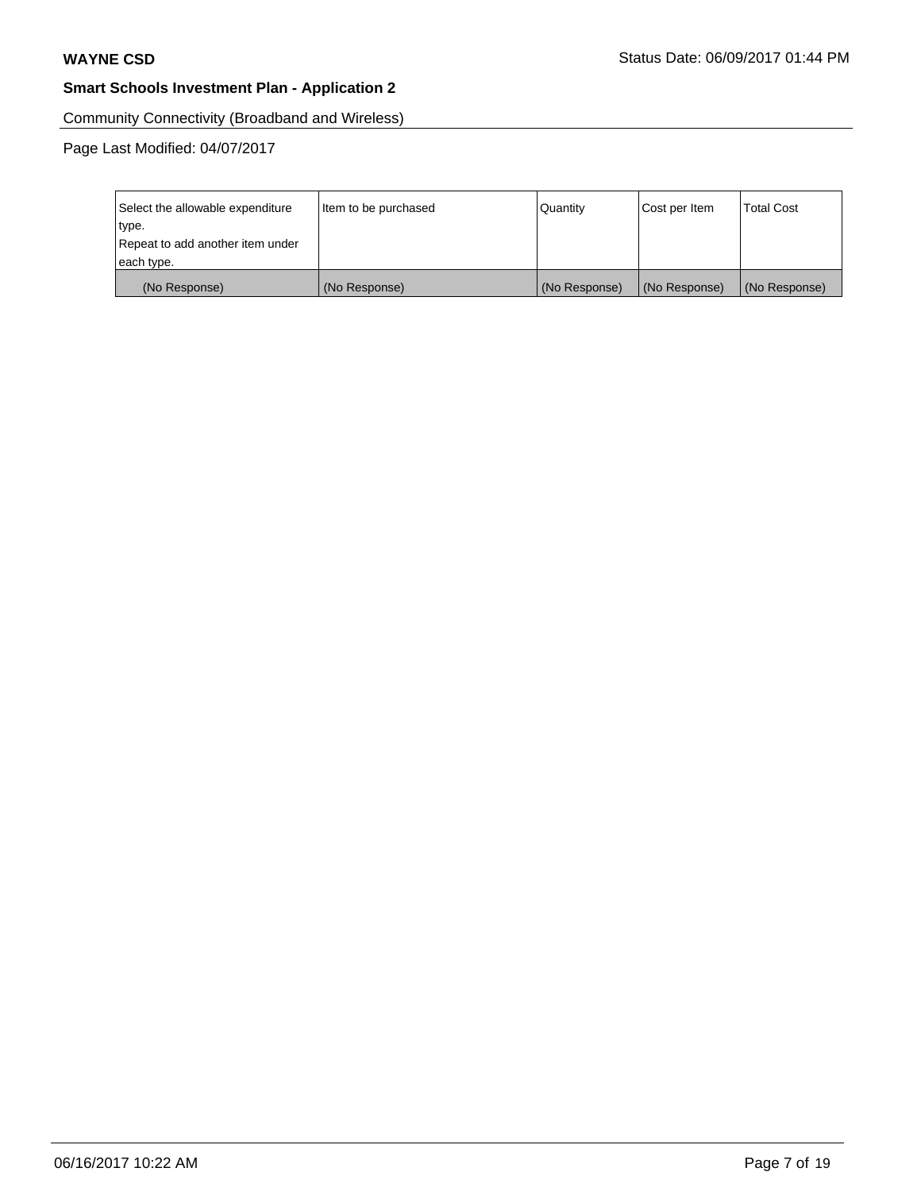Community Connectivity (Broadband and Wireless)

| Select the allowable expenditure | Item to be purchased | <b>Quantity</b> | Cost per Item | <b>Total Cost</b> |
|----------------------------------|----------------------|-----------------|---------------|-------------------|
| type.                            |                      |                 |               |                   |
| Repeat to add another item under |                      |                 |               |                   |
| each type.                       |                      |                 |               |                   |
| (No Response)                    | (No Response)        | (No Response)   | (No Response) | (No Response)     |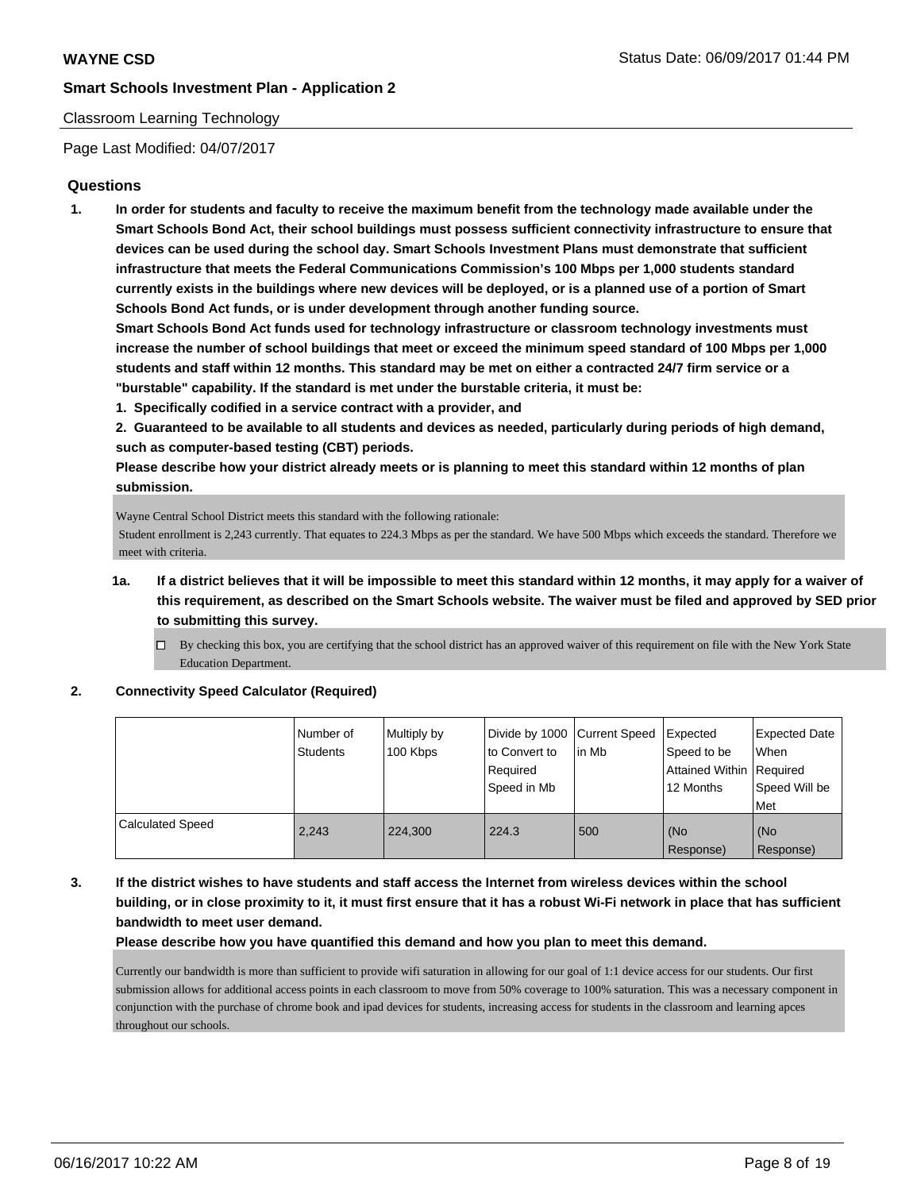### Classroom Learning Technology

Page Last Modified: 04/07/2017

## **Questions**

**1. In order for students and faculty to receive the maximum benefit from the technology made available under the Smart Schools Bond Act, their school buildings must possess sufficient connectivity infrastructure to ensure that devices can be used during the school day. Smart Schools Investment Plans must demonstrate that sufficient infrastructure that meets the Federal Communications Commission's 100 Mbps per 1,000 students standard currently exists in the buildings where new devices will be deployed, or is a planned use of a portion of Smart Schools Bond Act funds, or is under development through another funding source.**

**Smart Schools Bond Act funds used for technology infrastructure or classroom technology investments must increase the number of school buildings that meet or exceed the minimum speed standard of 100 Mbps per 1,000 students and staff within 12 months. This standard may be met on either a contracted 24/7 firm service or a "burstable" capability. If the standard is met under the burstable criteria, it must be:**

**1. Specifically codified in a service contract with a provider, and**

**2. Guaranteed to be available to all students and devices as needed, particularly during periods of high demand, such as computer-based testing (CBT) periods.**

**Please describe how your district already meets or is planning to meet this standard within 12 months of plan submission.**

Wayne Central School District meets this standard with the following rationale: Student enrollment is 2,243 currently. That equates to 224.3 Mbps as per the standard. We have 500 Mbps which exceeds the standard. Therefore we meet with criteria.

- **1a. If a district believes that it will be impossible to meet this standard within 12 months, it may apply for a waiver of this requirement, as described on the Smart Schools website. The waiver must be filed and approved by SED prior to submitting this survey.**
	- $\Box$  By checking this box, you are certifying that the school district has an approved waiver of this requirement on file with the New York State Education Department.

**2. Connectivity Speed Calculator (Required)**

|                         | l Number of<br>Students | Multiply by<br>100 Kbps | Divide by 1000 Current Speed<br>to Convert to<br>Required<br>Speed in Mb | lin Mb | Expected<br>Speed to be<br>Attained Within   Required<br>12 Months | <b>Expected Date</b><br>When<br>Speed Will be<br>Met |
|-------------------------|-------------------------|-------------------------|--------------------------------------------------------------------------|--------|--------------------------------------------------------------------|------------------------------------------------------|
| <b>Calculated Speed</b> | 2,243                   | 224,300                 | 224.3                                                                    | 500    | (No<br>Response)                                                   | l (No<br>Response)                                   |

**3. If the district wishes to have students and staff access the Internet from wireless devices within the school building, or in close proximity to it, it must first ensure that it has a robust Wi-Fi network in place that has sufficient bandwidth to meet user demand.**

**Please describe how you have quantified this demand and how you plan to meet this demand.**

Currently our bandwidth is more than sufficient to provide wifi saturation in allowing for our goal of 1:1 device access for our students. Our first submission allows for additional access points in each classroom to move from 50% coverage to 100% saturation. This was a necessary component in conjunction with the purchase of chrome book and ipad devices for students, increasing access for students in the classroom and learning apces throughout our schools.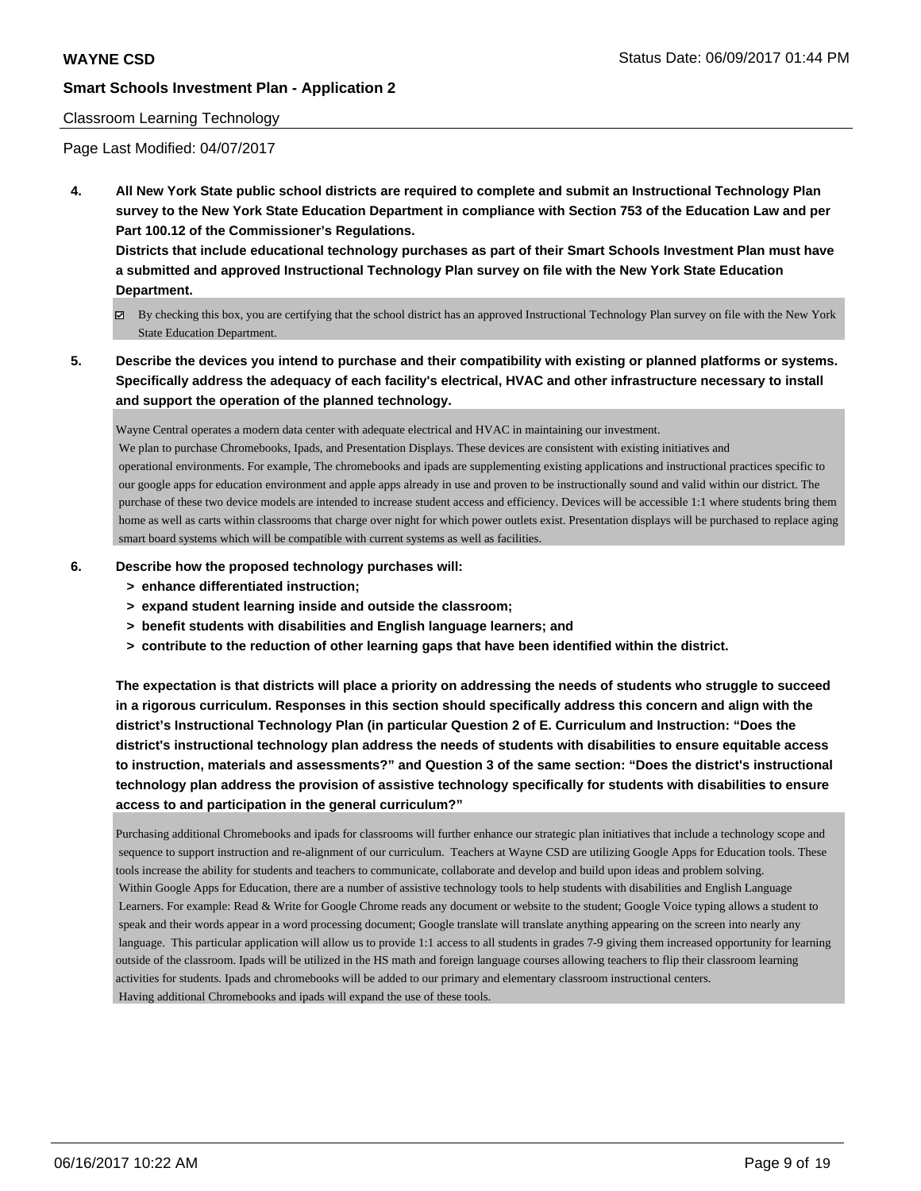#### Classroom Learning Technology

Page Last Modified: 04/07/2017

**4. All New York State public school districts are required to complete and submit an Instructional Technology Plan survey to the New York State Education Department in compliance with Section 753 of the Education Law and per Part 100.12 of the Commissioner's Regulations.**

**Districts that include educational technology purchases as part of their Smart Schools Investment Plan must have a submitted and approved Instructional Technology Plan survey on file with the New York State Education Department.**

- By checking this box, you are certifying that the school district has an approved Instructional Technology Plan survey on file with the New York State Education Department.
- **5. Describe the devices you intend to purchase and their compatibility with existing or planned platforms or systems. Specifically address the adequacy of each facility's electrical, HVAC and other infrastructure necessary to install and support the operation of the planned technology.**

Wayne Central operates a modern data center with adequate electrical and HVAC in maintaining our investment. We plan to purchase Chromebooks, Ipads, and Presentation Displays. These devices are consistent with existing initiatives and operational environments. For example, The chromebooks and ipads are supplementing existing applications and instructional practices specific to our google apps for education environment and apple apps already in use and proven to be instructionally sound and valid within our district. The purchase of these two device models are intended to increase student access and efficiency. Devices will be accessible 1:1 where students bring them home as well as carts within classrooms that charge over night for which power outlets exist. Presentation displays will be purchased to replace aging smart board systems which will be compatible with current systems as well as facilities.

- **6. Describe how the proposed technology purchases will:**
	- **> enhance differentiated instruction;**
	- **> expand student learning inside and outside the classroom;**
	- **> benefit students with disabilities and English language learners; and**
	- **> contribute to the reduction of other learning gaps that have been identified within the district.**

**The expectation is that districts will place a priority on addressing the needs of students who struggle to succeed in a rigorous curriculum. Responses in this section should specifically address this concern and align with the district's Instructional Technology Plan (in particular Question 2 of E. Curriculum and Instruction: "Does the district's instructional technology plan address the needs of students with disabilities to ensure equitable access to instruction, materials and assessments?" and Question 3 of the same section: "Does the district's instructional technology plan address the provision of assistive technology specifically for students with disabilities to ensure access to and participation in the general curriculum?"**

Purchasing additional Chromebooks and ipads for classrooms will further enhance our strategic plan initiatives that include a technology scope and sequence to support instruction and re-alignment of our curriculum. Teachers at Wayne CSD are utilizing Google Apps for Education tools. These tools increase the ability for students and teachers to communicate, collaborate and develop and build upon ideas and problem solving. Within Google Apps for Education, there are a number of assistive technology tools to help students with disabilities and English Language Learners. For example: Read & Write for Google Chrome reads any document or website to the student; Google Voice typing allows a student to speak and their words appear in a word processing document; Google translate will translate anything appearing on the screen into nearly any language. This particular application will allow us to provide 1:1 access to all students in grades 7-9 giving them increased opportunity for learning outside of the classroom. Ipads will be utilized in the HS math and foreign language courses allowing teachers to flip their classroom learning activities for students. Ipads and chromebooks will be added to our primary and elementary classroom instructional centers. Having additional Chromebooks and ipads will expand the use of these tools.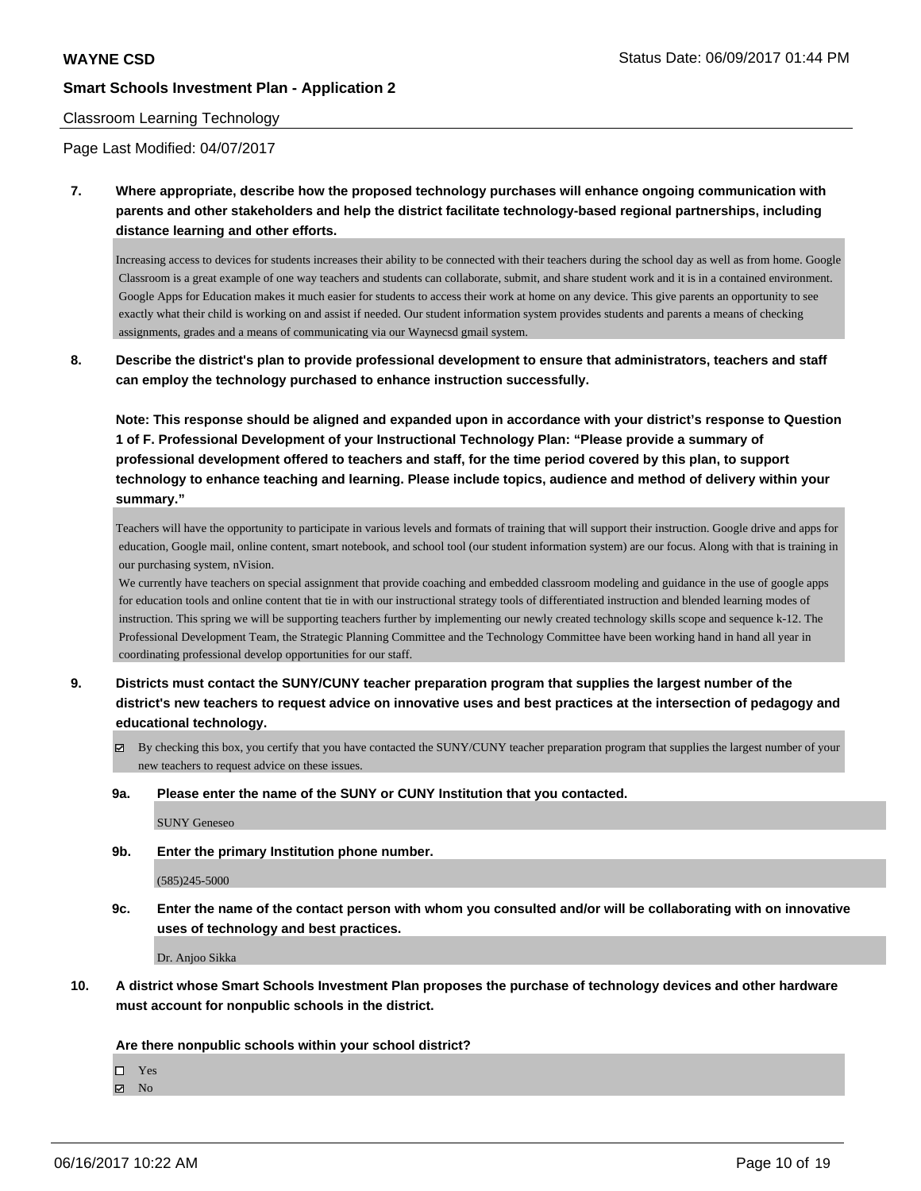#### Classroom Learning Technology

Page Last Modified: 04/07/2017

**7. Where appropriate, describe how the proposed technology purchases will enhance ongoing communication with parents and other stakeholders and help the district facilitate technology-based regional partnerships, including distance learning and other efforts.**

Increasing access to devices for students increases their ability to be connected with their teachers during the school day as well as from home. Google Classroom is a great example of one way teachers and students can collaborate, submit, and share student work and it is in a contained environment. Google Apps for Education makes it much easier for students to access their work at home on any device. This give parents an opportunity to see exactly what their child is working on and assist if needed. Our student information system provides students and parents a means of checking assignments, grades and a means of communicating via our Waynecsd gmail system.

**8. Describe the district's plan to provide professional development to ensure that administrators, teachers and staff can employ the technology purchased to enhance instruction successfully.**

**Note: This response should be aligned and expanded upon in accordance with your district's response to Question 1 of F. Professional Development of your Instructional Technology Plan: "Please provide a summary of professional development offered to teachers and staff, for the time period covered by this plan, to support technology to enhance teaching and learning. Please include topics, audience and method of delivery within your summary."**

Teachers will have the opportunity to participate in various levels and formats of training that will support their instruction. Google drive and apps for education, Google mail, online content, smart notebook, and school tool (our student information system) are our focus. Along with that is training in our purchasing system, nVision.

 We currently have teachers on special assignment that provide coaching and embedded classroom modeling and guidance in the use of google apps for education tools and online content that tie in with our instructional strategy tools of differentiated instruction and blended learning modes of instruction. This spring we will be supporting teachers further by implementing our newly created technology skills scope and sequence k-12. The Professional Development Team, the Strategic Planning Committee and the Technology Committee have been working hand in hand all year in coordinating professional develop opportunities for our staff.

- **9. Districts must contact the SUNY/CUNY teacher preparation program that supplies the largest number of the district's new teachers to request advice on innovative uses and best practices at the intersection of pedagogy and educational technology.**
	- $\boxtimes$  By checking this box, you certify that you have contacted the SUNY/CUNY teacher preparation program that supplies the largest number of your new teachers to request advice on these issues.
	- **9a. Please enter the name of the SUNY or CUNY Institution that you contacted.**

SUNY Geneseo

**9b. Enter the primary Institution phone number.**

(585)245-5000

**9c. Enter the name of the contact person with whom you consulted and/or will be collaborating with on innovative uses of technology and best practices.**

Dr. Anjoo Sikka

**10. A district whose Smart Schools Investment Plan proposes the purchase of technology devices and other hardware must account for nonpublic schools in the district.**

**Are there nonpublic schools within your school district?**

Yes

**Z** No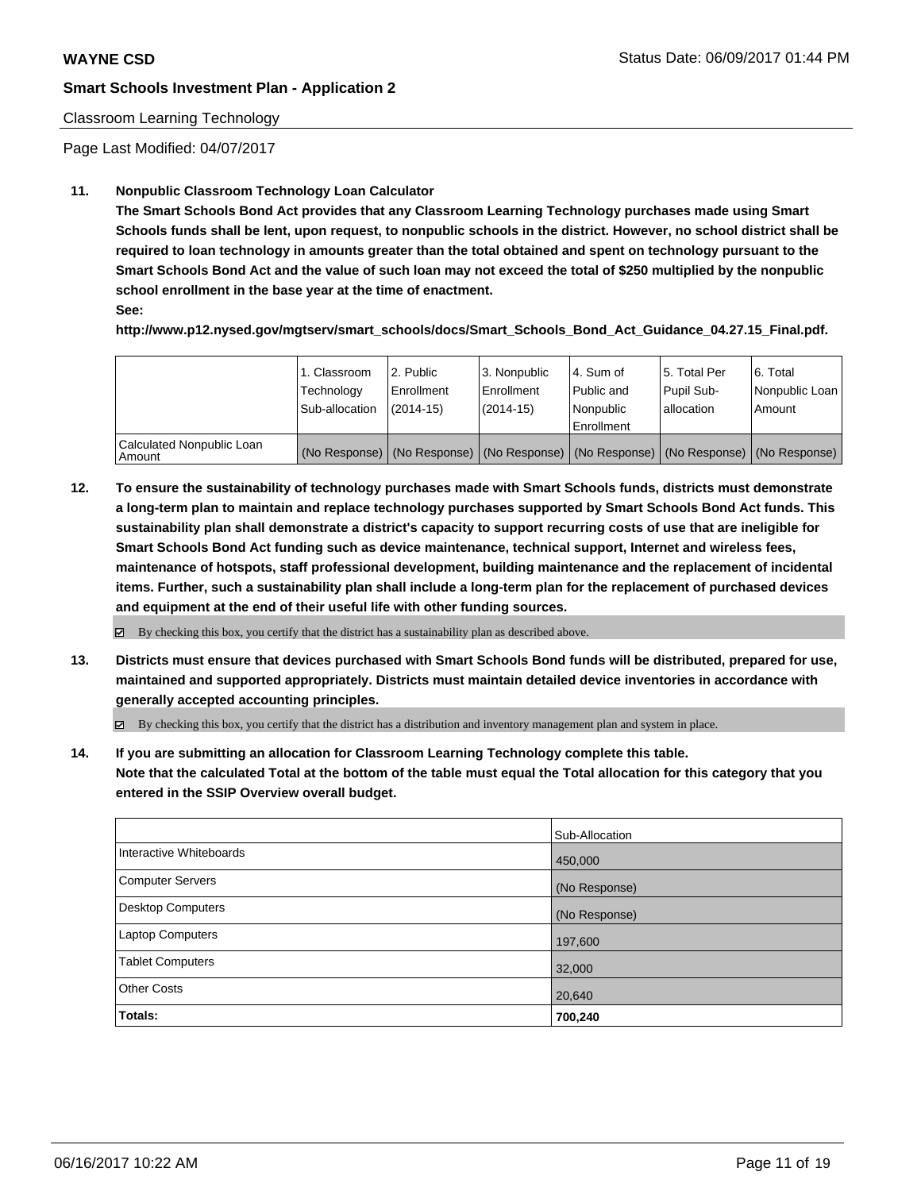#### Classroom Learning Technology

Page Last Modified: 04/07/2017

## **11. Nonpublic Classroom Technology Loan Calculator**

**The Smart Schools Bond Act provides that any Classroom Learning Technology purchases made using Smart Schools funds shall be lent, upon request, to nonpublic schools in the district. However, no school district shall be required to loan technology in amounts greater than the total obtained and spent on technology pursuant to the Smart Schools Bond Act and the value of such loan may not exceed the total of \$250 multiplied by the nonpublic school enrollment in the base year at the time of enactment.**

**See:**

**http://www.p12.nysed.gov/mgtserv/smart\_schools/docs/Smart\_Schools\_Bond\_Act\_Guidance\_04.27.15\_Final.pdf.**

|                                       | 1. Classroom<br>Technology<br>Sub-allocation | 2. Public<br>Enrollment<br>$(2014-15)$ | 3. Nonpublic<br>Enrollment<br>$(2014-15)$ | l 4. Sum of<br>l Public and<br>l Nonpublic<br>l Enrollment | 15. Total Per<br>Pupil Sub-<br>lallocation | 6. Total<br>Nonpublic Loan  <br>Amount                                                        |
|---------------------------------------|----------------------------------------------|----------------------------------------|-------------------------------------------|------------------------------------------------------------|--------------------------------------------|-----------------------------------------------------------------------------------------------|
| Calculated Nonpublic Loan<br>l Amount |                                              |                                        |                                           |                                                            |                                            | (No Response)   (No Response)   (No Response)   (No Response)   (No Response)   (No Response) |

**12. To ensure the sustainability of technology purchases made with Smart Schools funds, districts must demonstrate a long-term plan to maintain and replace technology purchases supported by Smart Schools Bond Act funds. This sustainability plan shall demonstrate a district's capacity to support recurring costs of use that are ineligible for Smart Schools Bond Act funding such as device maintenance, technical support, Internet and wireless fees, maintenance of hotspots, staff professional development, building maintenance and the replacement of incidental items. Further, such a sustainability plan shall include a long-term plan for the replacement of purchased devices and equipment at the end of their useful life with other funding sources.**

 $\boxtimes$  By checking this box, you certify that the district has a sustainability plan as described above.

**13. Districts must ensure that devices purchased with Smart Schools Bond funds will be distributed, prepared for use, maintained and supported appropriately. Districts must maintain detailed device inventories in accordance with generally accepted accounting principles.**

By checking this box, you certify that the district has a distribution and inventory management plan and system in place.

**14. If you are submitting an allocation for Classroom Learning Technology complete this table. Note that the calculated Total at the bottom of the table must equal the Total allocation for this category that you entered in the SSIP Overview overall budget.**

|                         | Sub-Allocation |
|-------------------------|----------------|
| Interactive Whiteboards | 450,000        |
| Computer Servers        | (No Response)  |
| Desktop Computers       | (No Response)  |
| <b>Laptop Computers</b> | 197,600        |
| <b>Tablet Computers</b> | 32,000         |
| <b>Other Costs</b>      | 20,640         |
| Totals:                 | 700,240        |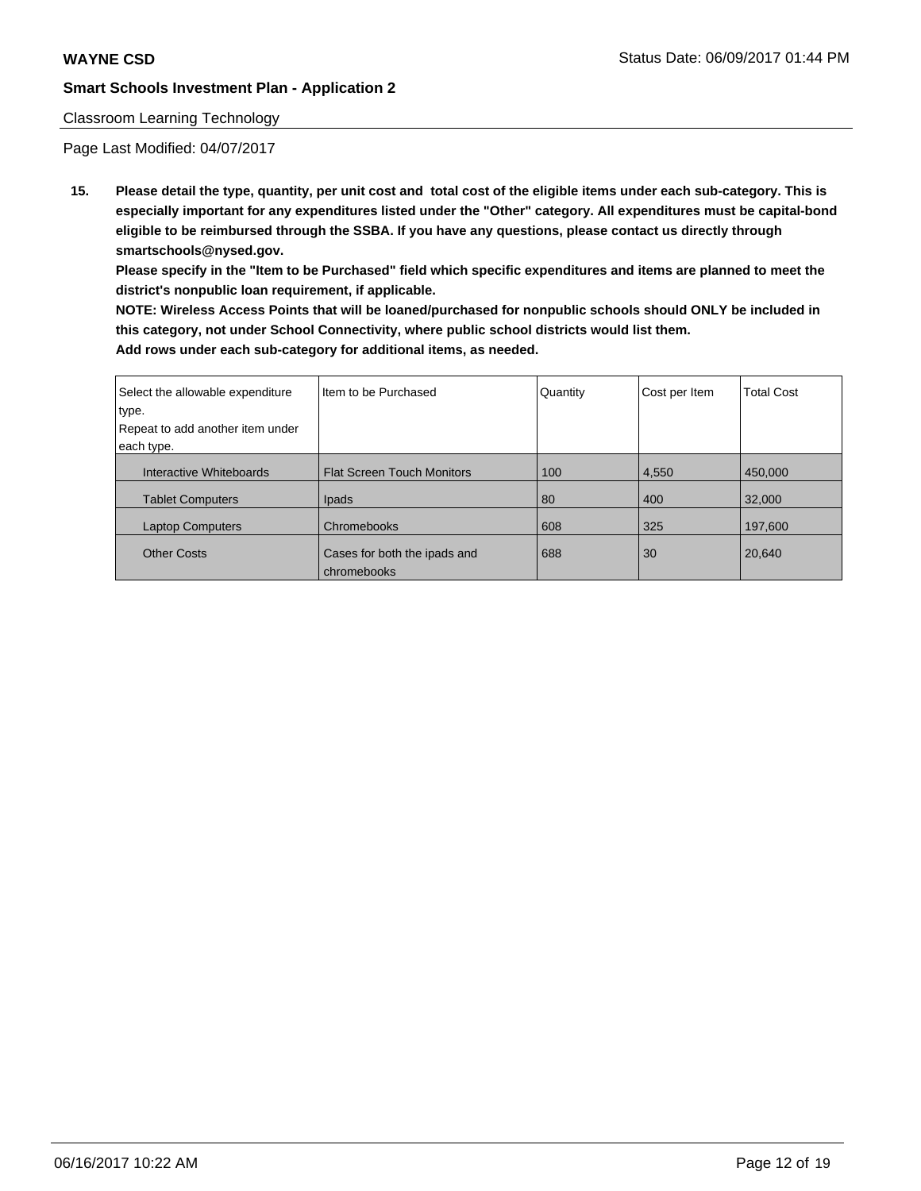#### Classroom Learning Technology

Page Last Modified: 04/07/2017

**15. Please detail the type, quantity, per unit cost and total cost of the eligible items under each sub-category. This is especially important for any expenditures listed under the "Other" category. All expenditures must be capital-bond eligible to be reimbursed through the SSBA. If you have any questions, please contact us directly through smartschools@nysed.gov.**

**Please specify in the "Item to be Purchased" field which specific expenditures and items are planned to meet the district's nonpublic loan requirement, if applicable.**

**NOTE: Wireless Access Points that will be loaned/purchased for nonpublic schools should ONLY be included in this category, not under School Connectivity, where public school districts would list them. Add rows under each sub-category for additional items, as needed.**

| Iltem to be Purchased        | Quantity    | Cost per Item | <b>Total Cost</b> |
|------------------------------|-------------|---------------|-------------------|
|                              |             |               |                   |
|                              |             |               |                   |
| l Flat Screen Touch Monitors | 100         | 4,550         | 450,000           |
| Ipads                        | 80          | 400           | 32,000            |
| Chromebooks                  | 608         | 325           | 197,600           |
| Cases for both the ipads and | 688         | 30            | 20.640            |
|                              | chromebooks |               |                   |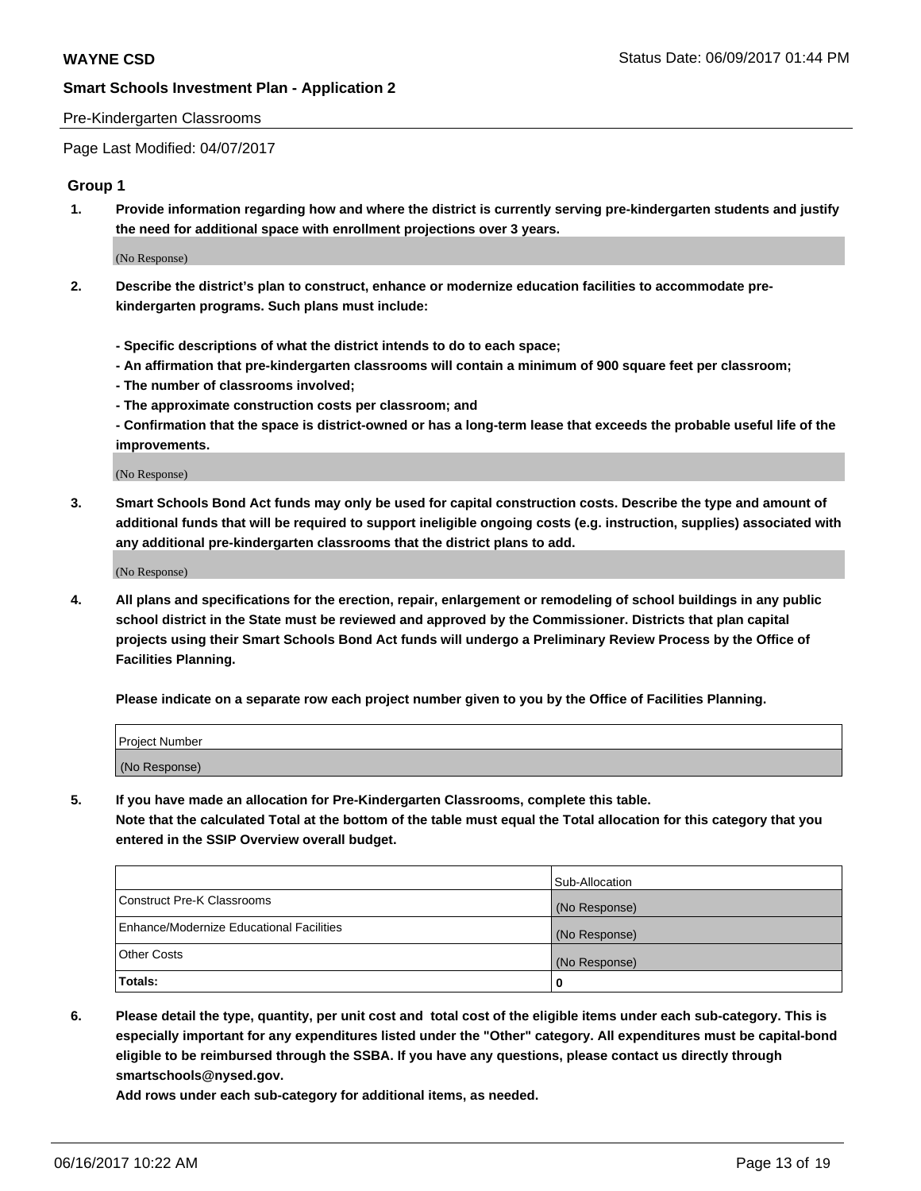#### Pre-Kindergarten Classrooms

Page Last Modified: 04/07/2017

## **Group 1**

**1. Provide information regarding how and where the district is currently serving pre-kindergarten students and justify the need for additional space with enrollment projections over 3 years.**

(No Response)

- **2. Describe the district's plan to construct, enhance or modernize education facilities to accommodate prekindergarten programs. Such plans must include:**
	- **Specific descriptions of what the district intends to do to each space;**
	- **An affirmation that pre-kindergarten classrooms will contain a minimum of 900 square feet per classroom;**
	- **The number of classrooms involved;**
	- **The approximate construction costs per classroom; and**
	- **Confirmation that the space is district-owned or has a long-term lease that exceeds the probable useful life of the improvements.**

(No Response)

**3. Smart Schools Bond Act funds may only be used for capital construction costs. Describe the type and amount of additional funds that will be required to support ineligible ongoing costs (e.g. instruction, supplies) associated with any additional pre-kindergarten classrooms that the district plans to add.**

(No Response)

**4. All plans and specifications for the erection, repair, enlargement or remodeling of school buildings in any public school district in the State must be reviewed and approved by the Commissioner. Districts that plan capital projects using their Smart Schools Bond Act funds will undergo a Preliminary Review Process by the Office of Facilities Planning.**

**Please indicate on a separate row each project number given to you by the Office of Facilities Planning.**

| Project Number |  |
|----------------|--|
| (No Response)  |  |

**5. If you have made an allocation for Pre-Kindergarten Classrooms, complete this table. Note that the calculated Total at the bottom of the table must equal the Total allocation for this category that you entered in the SSIP Overview overall budget.**

| Totals:                                  | 0              |
|------------------------------------------|----------------|
| Other Costs                              | (No Response)  |
| Enhance/Modernize Educational Facilities | (No Response)  |
| Construct Pre-K Classrooms               | (No Response)  |
|                                          | Sub-Allocation |

**6. Please detail the type, quantity, per unit cost and total cost of the eligible items under each sub-category. This is especially important for any expenditures listed under the "Other" category. All expenditures must be capital-bond eligible to be reimbursed through the SSBA. If you have any questions, please contact us directly through smartschools@nysed.gov.**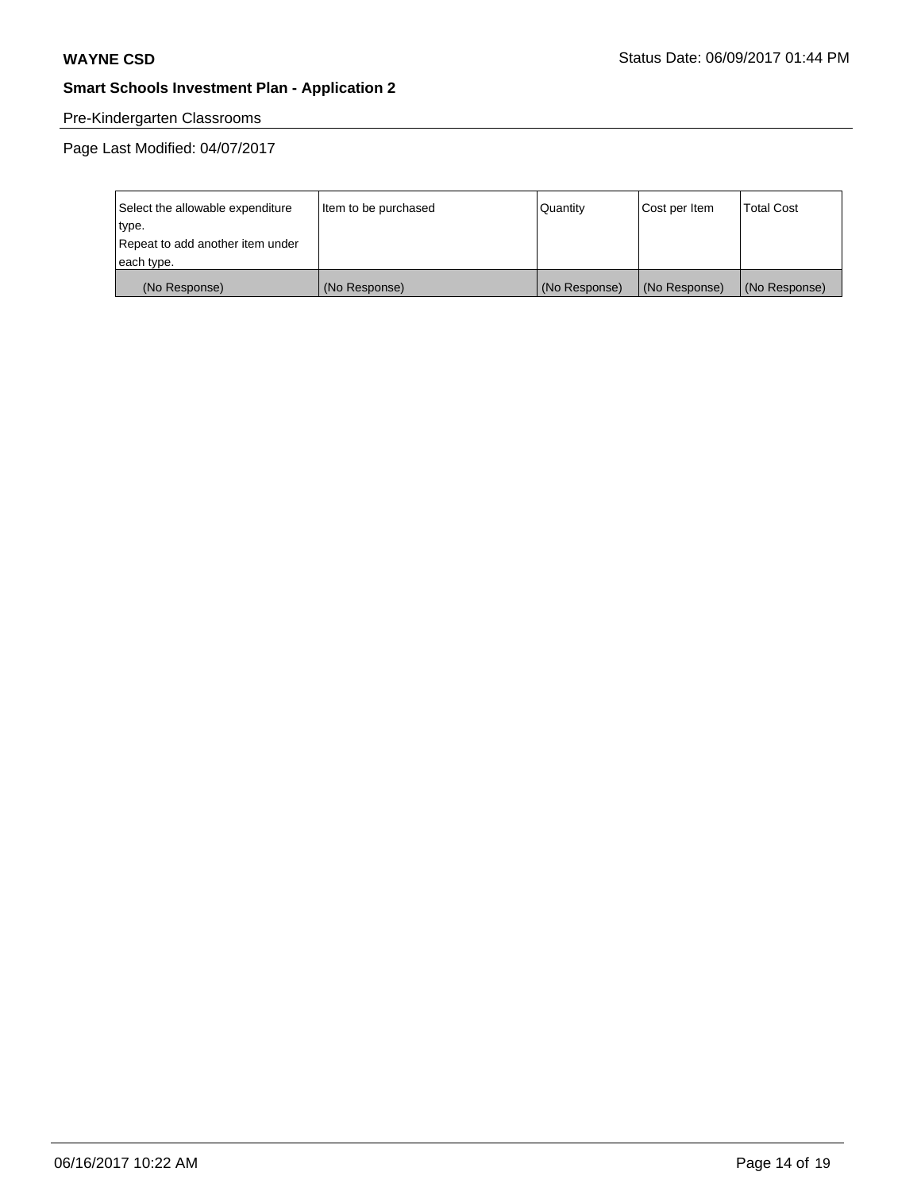# Pre-Kindergarten Classrooms

| Select the allowable expenditure | Item to be purchased | Quantity      | Cost per Item | <b>Total Cost</b> |
|----------------------------------|----------------------|---------------|---------------|-------------------|
| type.                            |                      |               |               |                   |
| Repeat to add another item under |                      |               |               |                   |
| each type.                       |                      |               |               |                   |
| (No Response)                    | (No Response)        | (No Response) | (No Response) | (No Response)     |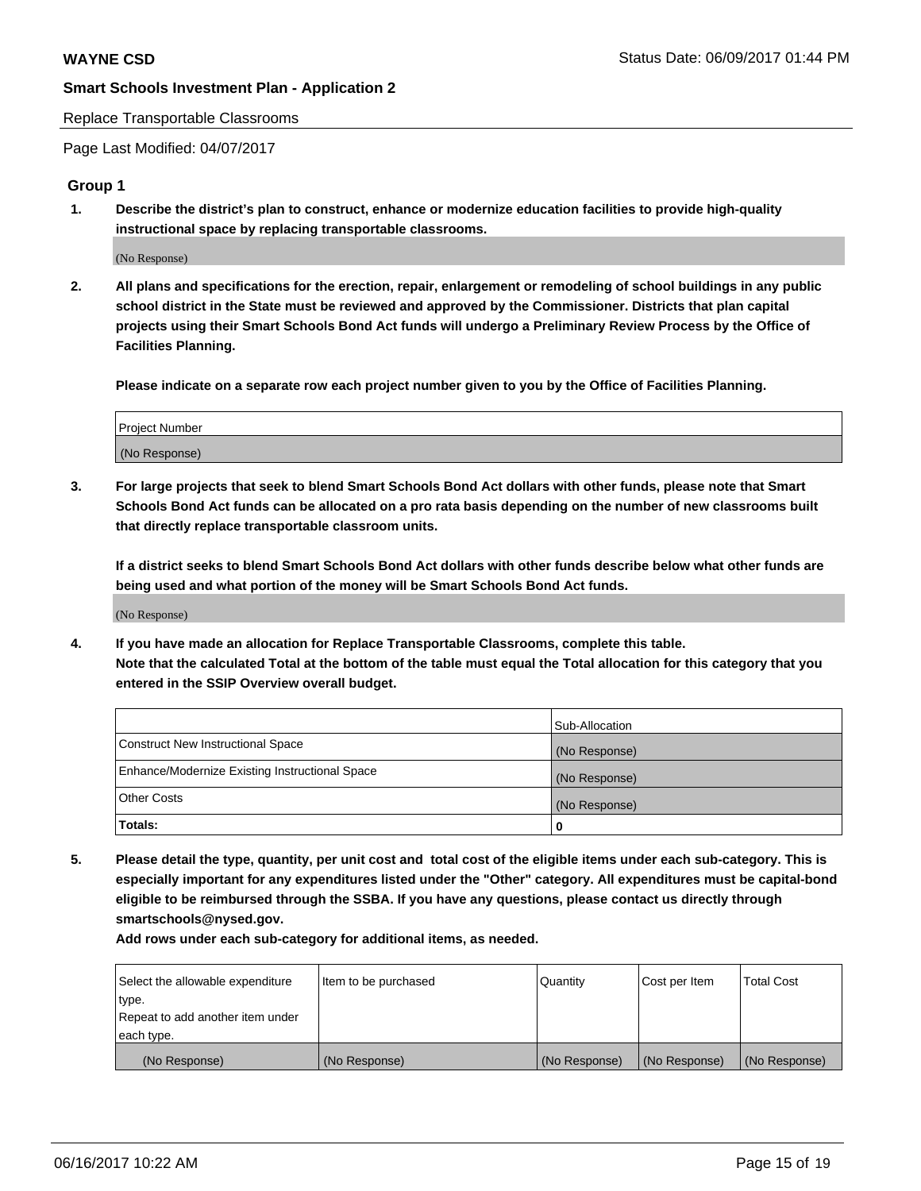#### Replace Transportable Classrooms

Page Last Modified: 04/07/2017

### **Group 1**

**1. Describe the district's plan to construct, enhance or modernize education facilities to provide high-quality instructional space by replacing transportable classrooms.**

(No Response)

**2. All plans and specifications for the erection, repair, enlargement or remodeling of school buildings in any public school district in the State must be reviewed and approved by the Commissioner. Districts that plan capital projects using their Smart Schools Bond Act funds will undergo a Preliminary Review Process by the Office of Facilities Planning.**

**Please indicate on a separate row each project number given to you by the Office of Facilities Planning.**

| Project Number |  |
|----------------|--|
| (No Response)  |  |

**3. For large projects that seek to blend Smart Schools Bond Act dollars with other funds, please note that Smart Schools Bond Act funds can be allocated on a pro rata basis depending on the number of new classrooms built that directly replace transportable classroom units.**

**If a district seeks to blend Smart Schools Bond Act dollars with other funds describe below what other funds are being used and what portion of the money will be Smart Schools Bond Act funds.**

(No Response)

**4. If you have made an allocation for Replace Transportable Classrooms, complete this table. Note that the calculated Total at the bottom of the table must equal the Total allocation for this category that you entered in the SSIP Overview overall budget.**

|                                                | Sub-Allocation |
|------------------------------------------------|----------------|
| Construct New Instructional Space              | (No Response)  |
| Enhance/Modernize Existing Instructional Space | (No Response)  |
| Other Costs                                    | (No Response)  |
| Totals:                                        | $\Omega$       |

**5. Please detail the type, quantity, per unit cost and total cost of the eligible items under each sub-category. This is especially important for any expenditures listed under the "Other" category. All expenditures must be capital-bond eligible to be reimbursed through the SSBA. If you have any questions, please contact us directly through smartschools@nysed.gov.**

| Select the allowable expenditure | Item to be purchased | Quantity      | Cost per Item | <b>Total Cost</b> |
|----------------------------------|----------------------|---------------|---------------|-------------------|
| type.                            |                      |               |               |                   |
| Repeat to add another item under |                      |               |               |                   |
| each type.                       |                      |               |               |                   |
| (No Response)                    | (No Response)        | (No Response) | (No Response) | (No Response)     |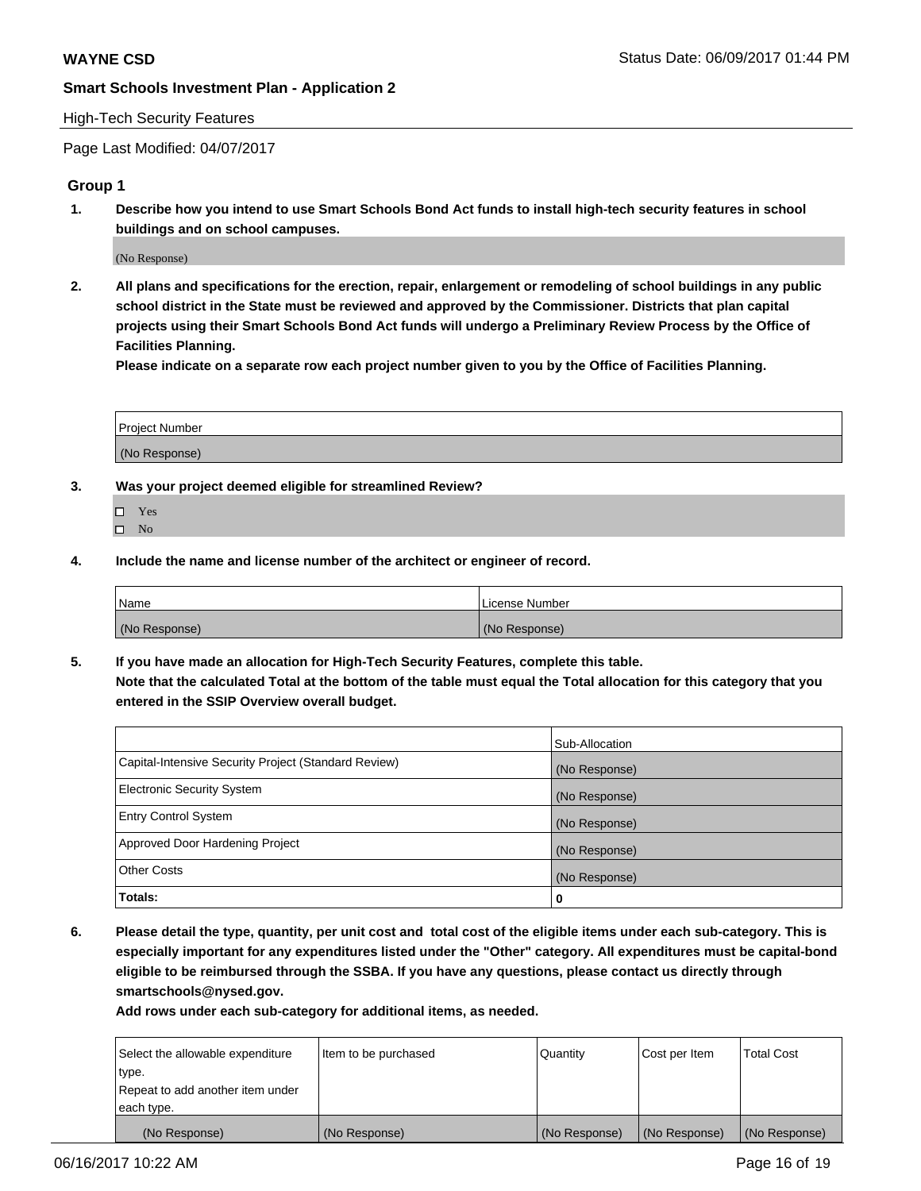### High-Tech Security Features

Page Last Modified: 04/07/2017

## **Group 1**

**1. Describe how you intend to use Smart Schools Bond Act funds to install high-tech security features in school buildings and on school campuses.**

(No Response)

**2. All plans and specifications for the erection, repair, enlargement or remodeling of school buildings in any public school district in the State must be reviewed and approved by the Commissioner. Districts that plan capital projects using their Smart Schools Bond Act funds will undergo a Preliminary Review Process by the Office of Facilities Planning.** 

**Please indicate on a separate row each project number given to you by the Office of Facilities Planning.**

| Project Number |  |
|----------------|--|
|                |  |
| (No Response)  |  |

- **3. Was your project deemed eligible for streamlined Review?**
	- Yes  $\hfill \square$  No
- **4. Include the name and license number of the architect or engineer of record.**

| Name          | License Number |
|---------------|----------------|
| (No Response) | (No Response)  |

**5. If you have made an allocation for High-Tech Security Features, complete this table. Note that the calculated Total at the bottom of the table must equal the Total allocation for this category that you entered in the SSIP Overview overall budget.**

|                                                      | Sub-Allocation |
|------------------------------------------------------|----------------|
| Capital-Intensive Security Project (Standard Review) | (No Response)  |
| Electronic Security System                           | (No Response)  |
| <b>Entry Control System</b>                          | (No Response)  |
| Approved Door Hardening Project                      | (No Response)  |
| <b>Other Costs</b>                                   | (No Response)  |
| Totals:                                              | 0              |

**6. Please detail the type, quantity, per unit cost and total cost of the eligible items under each sub-category. This is especially important for any expenditures listed under the "Other" category. All expenditures must be capital-bond eligible to be reimbursed through the SSBA. If you have any questions, please contact us directly through smartschools@nysed.gov.**

| (No Response)                    | (No Response)        | (No Response) | (No Response) | (No Response)     |
|----------------------------------|----------------------|---------------|---------------|-------------------|
| each type.                       |                      |               |               |                   |
| Repeat to add another item under |                      |               |               |                   |
| type.                            |                      |               |               |                   |
| Select the allowable expenditure | Item to be purchased | Quantity      | Cost per Item | <b>Total Cost</b> |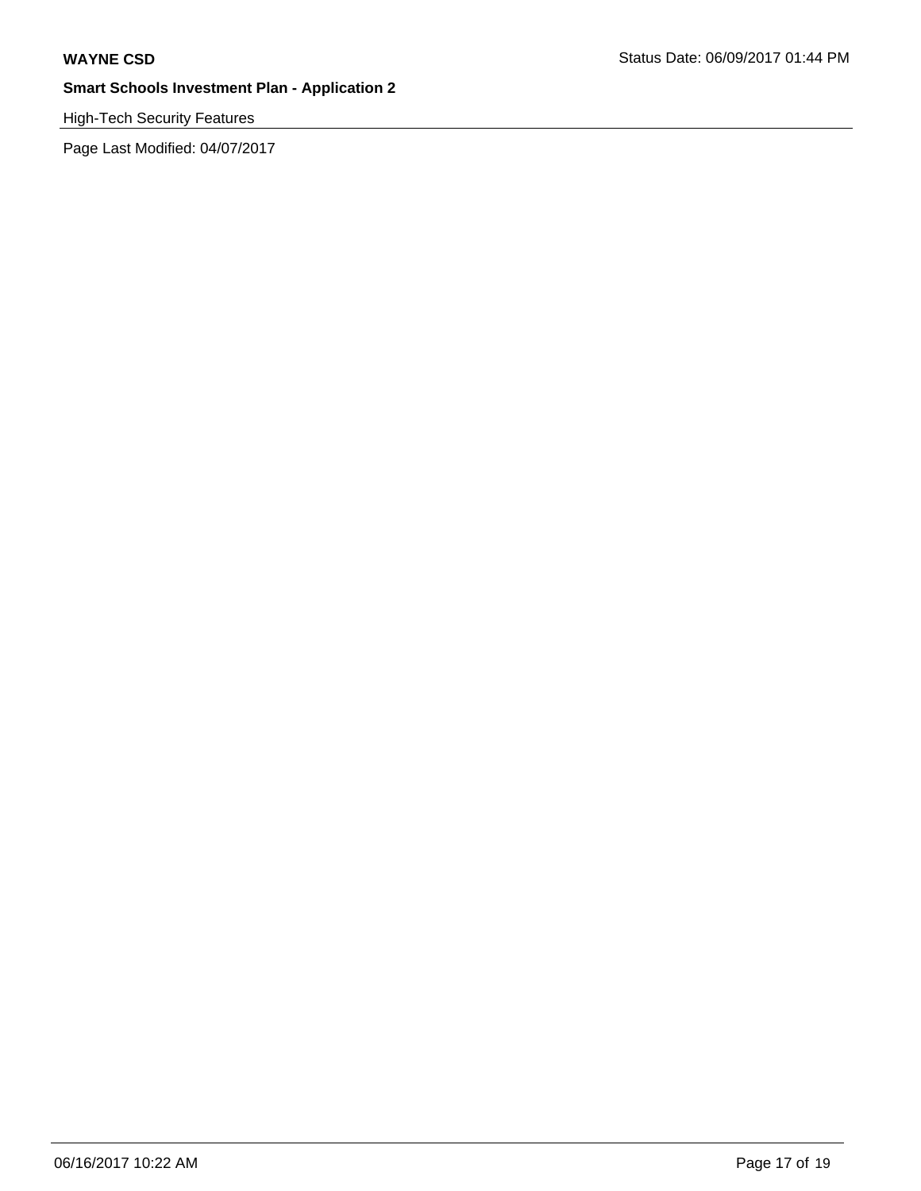# High-Tech Security Features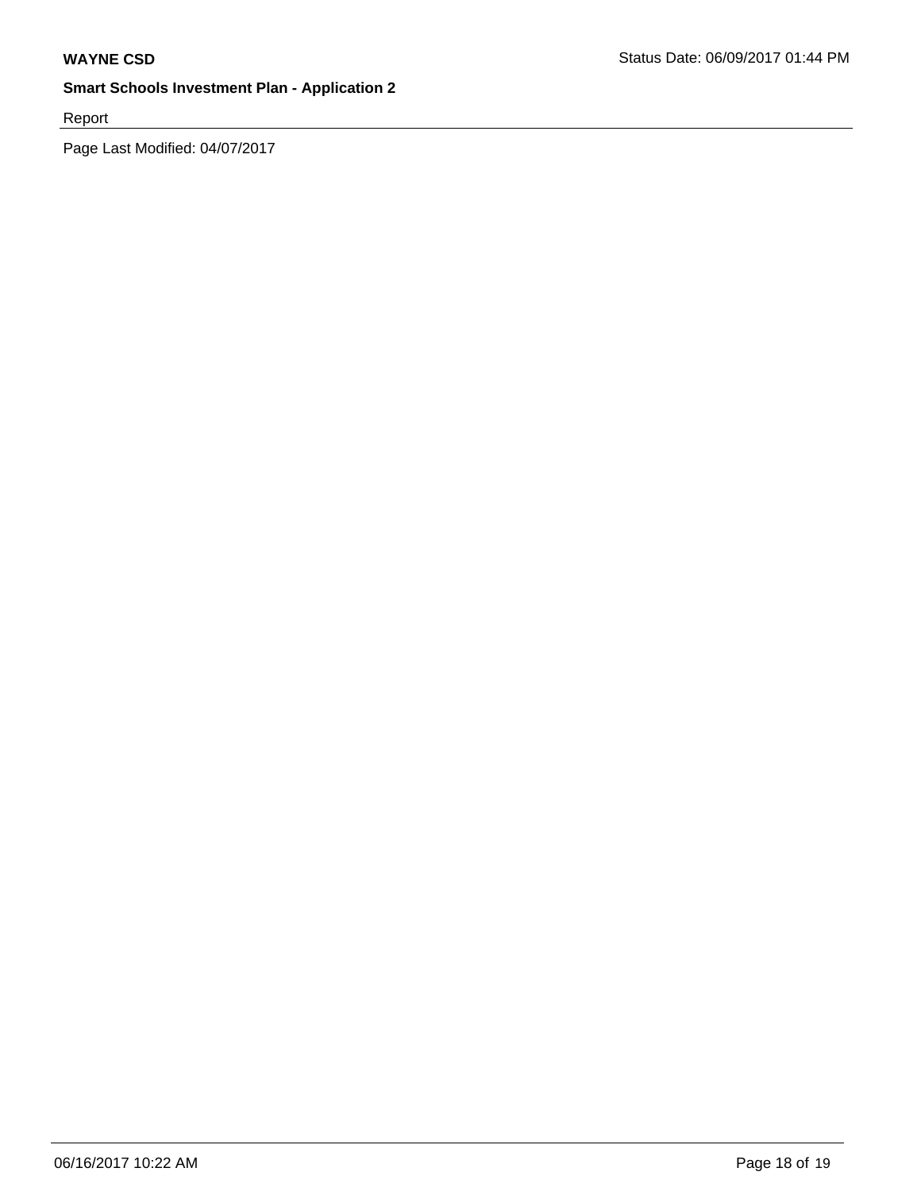Report